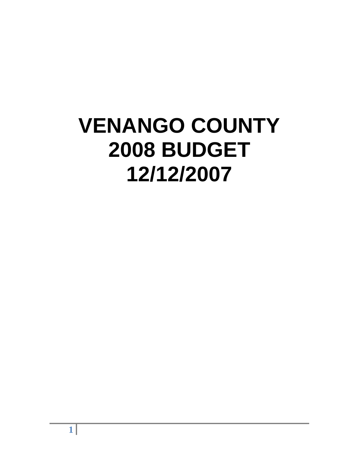# **VENANGO COUNTY 2008 BUDGET 12/12/2007**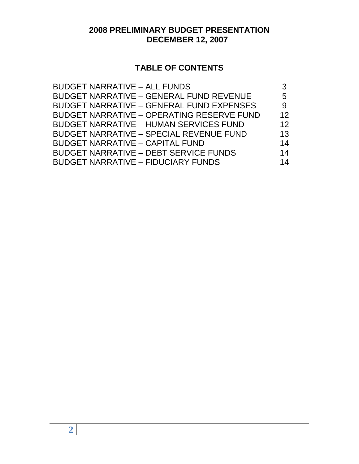# **2008 PRELIMINARY BUDGET PRESENTATION DECEMBER 12, 2007**

# **TABLE OF CONTENTS**

| <b>BUDGET NARRATIVE - ALL FUNDS</b>              |    |
|--------------------------------------------------|----|
| <b>BUDGET NARRATIVE - GENERAL FUND REVENUE</b>   | 5  |
| <b>BUDGET NARRATIVE - GENERAL FUND EXPENSES</b>  | 9  |
| <b>BUDGET NARRATIVE - OPERATING RESERVE FUND</b> | 12 |
| <b>BUDGET NARRATIVE - HUMAN SERVICES FUND</b>    | 12 |
| <b>BUDGET NARRATIVE - SPECIAL REVENUE FUND</b>   | 13 |
| <b>BUDGET NARRATIVE - CAPITAL FUND</b>           | 14 |
| <b>BUDGET NARRATIVE - DEBT SERVICE FUNDS</b>     | 14 |
| <b>BUDGET NARRATIVE - FIDUCIARY FUNDS</b>        | 14 |
|                                                  |    |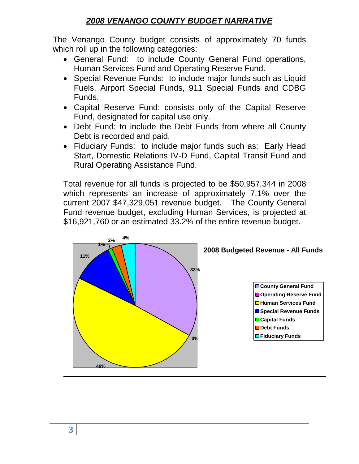# *2008 VENANGO COUNTY BUDGET NARRATIVE*

The Venango County budget consists of approximately 70 funds which roll up in the following categories:

- General Fund: to include County General Fund operations, Human Services Fund and Operating Reserve Fund.
- Special Revenue Funds: to include major funds such as Liquid Fuels, Airport Special Funds, 911 Special Funds and CDBG Funds.
- Capital Reserve Fund: consists only of the Capital Reserve Fund, designated for capital use only.
- Debt Fund: to include the Debt Funds from where all County Debt is recorded and paid.
- Fiduciary Funds: to include major funds such as: Early Head Start, Domestic Relations IV-D Fund, Capital Transit Fund and Rural Operating Assistance Fund.

Total revenue for all funds is projected to be \$50,957,344 in 2008 which represents an increase of approximately 7.1% over the current 2007 \$47,329,051 revenue budget. The County General Fund revenue budget, excluding Human Services, is projected at \$16,921,760 or an estimated 33.2% of the entire revenue budget.

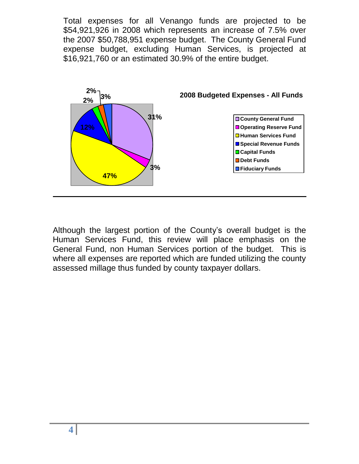Total expenses for all Venango funds are projected to be \$54,921,926 in 2008 which represents an increase of 7.5% over the 2007 \$50,788,951 expense budget. The County General Fund expense budget, excluding Human Services, is projected at \$16,921,760 or an estimated 30.9% of the entire budget.



Although the largest portion of the County's overall budget is the Human Services Fund, this review will place emphasis on the General Fund, non Human Services portion of the budget. This is where all expenses are reported which are funded utilizing the county assessed millage thus funded by county taxpayer dollars.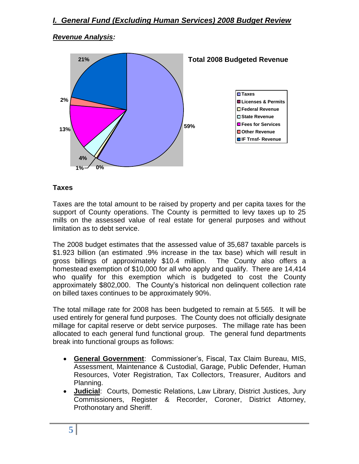#### *Revenue Analysis:*



#### **Taxes**

Taxes are the total amount to be raised by property and per capita taxes for the support of County operations. The County is permitted to levy taxes up to 25 mills on the assessed value of real estate for general purposes and without limitation as to debt service.

The 2008 budget estimates that the assessed value of 35,687 taxable parcels is \$1.923 billion (an estimated .9% increase in the tax base) which will result in gross billings of approximately \$10.4 million. The County also offers a homestead exemption of \$10,000 for all who apply and qualify. There are 14,414 who qualify for this exemption which is budgeted to cost the County approximately \$802,000. The County's historical non delinquent collection rate on billed taxes continues to be approximately 90%.

The total millage rate for 2008 has been budgeted to remain at 5.565. It will be used entirely for general fund purposes. The County does not officially designate millage for capital reserve or debt service purposes. The millage rate has been allocated to each general fund functional group. The general fund departments break into functional groups as follows:

- **General Government**: Commissioner's, Fiscal, Tax Claim Bureau, MIS, Assessment, Maintenance & Custodial, Garage, Public Defender, Human Resources, Voter Registration, Tax Collectors, Treasurer, Auditors and Planning.
- **Judicial**: Courts, Domestic Relations, Law Library, District Justices, Jury Commissioners, Register & Recorder, Coroner, District Attorney, Prothonotary and Sheriff.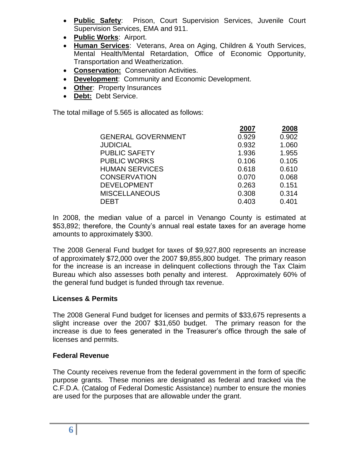- **Public Safety**: Prison, Court Supervision Services, Juvenile Court Supervision Services, EMA and 911.
- **Public Works**: Airport.
- **Human Services**: Veterans, Area on Aging, Children & Youth Services, Mental Health/Mental Retardation, Office of Economic Opportunity, Transportation and Weatherization.
- **Conservation:** Conservation Activities.
- **Development**: Community and Economic Development.
- **Other**: Property Insurances
- **Debt:** Debt Service.

The total millage of 5.565 is allocated as follows:

|                           | 2007  | 2008  |
|---------------------------|-------|-------|
| <b>GENERAL GOVERNMENT</b> | 0.929 | 0.902 |
| <b>JUDICIAL</b>           | 0.932 | 1.060 |
| <b>PUBLIC SAFETY</b>      | 1.936 | 1.955 |
| <b>PUBLIC WORKS</b>       | 0.106 | 0.105 |
| <b>HUMAN SERVICES</b>     | 0.618 | 0.610 |
| <b>CONSERVATION</b>       | 0.070 | 0.068 |
| <b>DEVELOPMENT</b>        | 0.263 | 0.151 |
| <b>MISCELLANEOUS</b>      | 0.308 | 0.314 |
| DEBT                      | 0.403 | 0.401 |

In 2008, the median value of a parcel in Venango County is estimated at \$53,892; therefore, the County's annual real estate taxes for an average home amounts to approximately \$300.

The 2008 General Fund budget for taxes of \$9,927,800 represents an increase of approximately \$72,000 over the 2007 \$9,855,800 budget. The primary reason for the increase is an increase in delinquent collections through the Tax Claim Bureau which also assesses both penalty and interest. Approximately 60% of the general fund budget is funded through tax revenue.

#### **Licenses & Permits**

The 2008 General Fund budget for licenses and permits of \$33,675 represents a slight increase over the 2007 \$31,650 budget. The primary reason for the increase is due to fees generated in the Treasurer's office through the sale of licenses and permits.

#### **Federal Revenue**

The County receives revenue from the federal government in the form of specific purpose grants. These monies are designated as federal and tracked via the C.F.D.A. (Catalog of Federal Domestic Assistance) number to ensure the monies are used for the purposes that are allowable under the grant.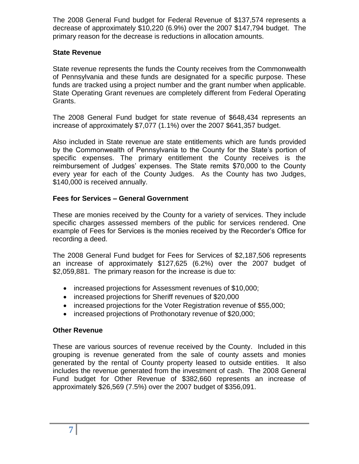The 2008 General Fund budget for Federal Revenue of \$137,574 represents a decrease of approximately \$10,220 (6.9%) over the 2007 \$147,794 budget. The primary reason for the decrease is reductions in allocation amounts.

#### **State Revenue**

State revenue represents the funds the County receives from the Commonwealth of Pennsylvania and these funds are designated for a specific purpose. These funds are tracked using a project number and the grant number when applicable. State Operating Grant revenues are completely different from Federal Operating Grants.

The 2008 General Fund budget for state revenue of \$648,434 represents an increase of approximately \$7,077 (1.1%) over the 2007 \$641,357 budget.

Also included in State revenue are state entitlements which are funds provided by the Commonwealth of Pennsylvania to the County for the State's portion of specific expenses. The primary entitlement the County receives is the reimbursement of Judges' expenses. The State remits \$70,000 to the County every year for each of the County Judges. As the County has two Judges, \$140,000 is received annually.

## **Fees for Services – General Government**

These are monies received by the County for a variety of services. They include specific charges assessed members of the public for services rendered. One example of Fees for Services is the monies received by the Recorder's Office for recording a deed.

The 2008 General Fund budget for Fees for Services of \$2,187,506 represents an increase of approximately \$127,625 (6.2%) over the 2007 budget of \$2,059,881. The primary reason for the increase is due to:

- increased projections for Assessment revenues of \$10,000;
- increased projections for Sheriff revenues of \$20,000
- increased projections for the Voter Registration revenue of \$55,000;
- increased projections of Prothonotary revenue of \$20,000;

#### **Other Revenue**

These are various sources of revenue received by the County. Included in this grouping is revenue generated from the sale of county assets and monies generated by the rental of County property leased to outside entities. It also includes the revenue generated from the investment of cash. The 2008 General Fund budget for Other Revenue of \$382,660 represents an increase of approximately \$26,569 (7.5%) over the 2007 budget of \$356,091.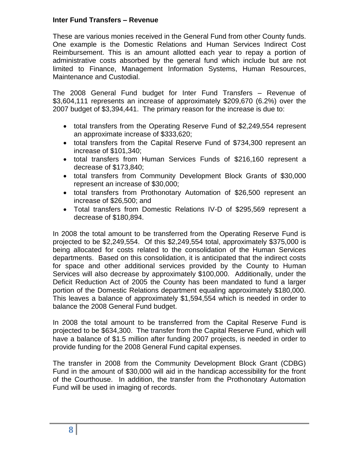#### **Inter Fund Transfers – Revenue**

These are various monies received in the General Fund from other County funds. One example is the Domestic Relations and Human Services Indirect Cost Reimbursement. This is an amount allotted each year to repay a portion of administrative costs absorbed by the general fund which include but are not limited to Finance, Management Information Systems, Human Resources, Maintenance and Custodial.

The 2008 General Fund budget for Inter Fund Transfers – Revenue of \$3,604,111 represents an increase of approximately \$209,670 (6.2%) over the 2007 budget of \$3,394,441. The primary reason for the increase is due to:

- total transfers from the Operating Reserve Fund of \$2,249,554 represent an approximate increase of \$333,620;
- total transfers from the Capital Reserve Fund of \$734,300 represent an increase of \$101,340;
- total transfers from Human Services Funds of \$216,160 represent a decrease of \$173,840;
- total transfers from Community Development Block Grants of \$30,000 represent an increase of \$30,000;
- total transfers from Prothonotary Automation of \$26,500 represent an increase of \$26,500; and
- Total transfers from Domestic Relations IV-D of \$295,569 represent a decrease of \$180,894.

In 2008 the total amount to be transferred from the Operating Reserve Fund is projected to be \$2,249,554. Of this \$2,249,554 total, approximately \$375,000 is being allocated for costs related to the consolidation of the Human Services departments. Based on this consolidation, it is anticipated that the indirect costs for space and other additional services provided by the County to Human Services will also decrease by approximately \$100,000. Additionally, under the Deficit Reduction Act of 2005 the County has been mandated to fund a larger portion of the Domestic Relations department equaling approximately \$180,000. This leaves a balance of approximately \$1,594,554 which is needed in order to balance the 2008 General Fund budget.

In 2008 the total amount to be transferred from the Capital Reserve Fund is projected to be \$634,300. The transfer from the Capital Reserve Fund, which will have a balance of \$1.5 million after funding 2007 projects, is needed in order to provide funding for the 2008 General Fund capital expenses.

The transfer in 2008 from the Community Development Block Grant (CDBG) Fund in the amount of \$30,000 will aid in the handicap accessibility for the front of the Courthouse. In addition, the transfer from the Prothonotary Automation Fund will be used in imaging of records.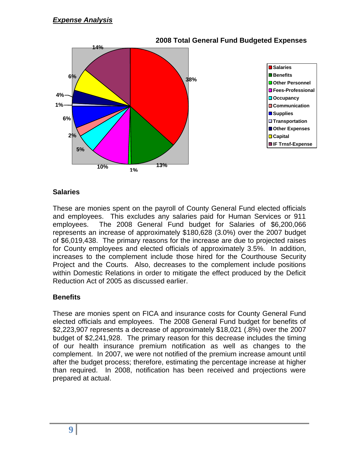

#### **Salaries**

These are monies spent on the payroll of County General Fund elected officials and employees. This excludes any salaries paid for Human Services or 911 employees. The 2008 General Fund budget for Salaries of \$6,200,066 represents an increase of approximately \$180,628 (3.0%) over the 2007 budget of \$6,019,438. The primary reasons for the increase are due to projected raises for County employees and elected officials of approximately 3.5%. In addition, increases to the complement include those hired for the Courthouse Security Project and the Courts. Also, decreases to the complement include positions within Domestic Relations in order to mitigate the effect produced by the Deficit Reduction Act of 2005 as discussed earlier.

#### **Benefits**

These are monies spent on FICA and insurance costs for County General Fund elected officials and employees. The 2008 General Fund budget for benefits of \$2,223,907 represents a decrease of approximately \$18,021 (.8%) over the 2007 budget of \$2,241,928. The primary reason for this decrease includes the timing of our health insurance premium notification as well as changes to the complement. In 2007, we were not notified of the premium increase amount until after the budget process; therefore, estimating the percentage increase at higher than required. In 2008, notification has been received and projections were prepared at actual.

## **9**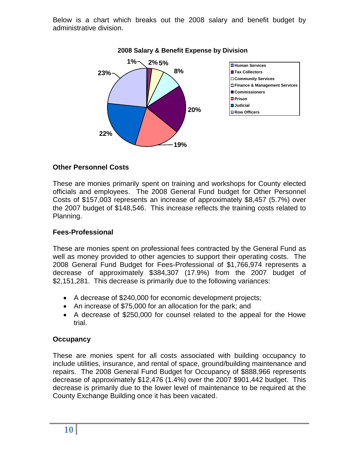Below is a chart which breaks out the 2008 salary and benefit budget by administrative division.



#### **2008 Salary & Benefit Expense by Division**

#### **Other Personnel Costs**

These are monies primarily spent on training and workshops for County elected officials and employees. The 2008 General Fund budget for Other Personnel Costs of \$157,003 represents an increase of approximately \$8,457 (5.7%) over the 2007 budget of \$148,546. This increase reflects the training costs related to Planning.

#### **Fees-Professional**

These are monies spent on professional fees contracted by the General Fund as well as money provided to other agencies to support their operating costs. The 2008 General Fund Budget for Fees-Professional of \$1,766,974 represents a decrease of approximately \$384,307 (17.9%) from the 2007 budget of \$2,151,281. This decrease is primarily due to the following variances:

- A decrease of \$240,000 for economic development projects;
- An increase of \$75,000 for an allocation for the park; and
- A decrease of \$250,000 for counsel related to the appeal for the Howe trial.

#### **Occupancy**

These are monies spent for all costs associated with building occupancy to include utilities, insurance, and rental of space, ground/building maintenance and repairs. The 2008 General Fund Budget for Occupancy of \$888,966 represents decrease of approximately \$12,476 (1.4%) over the 2007 \$901,442 budget. This decrease is primarily due to the lower level of maintenance to be required at the County Exchange Building once it has been vacated.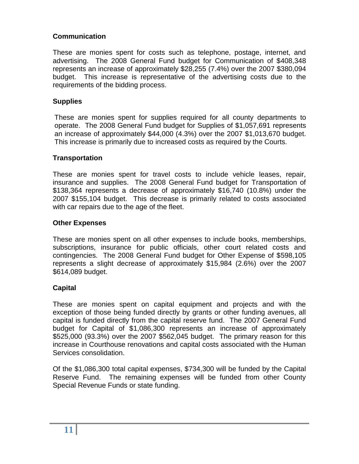## **Communication**

These are monies spent for costs such as telephone, postage, internet, and advertising. The 2008 General Fund budget for Communication of \$408,348 represents an increase of approximately \$28,255 (7.4%) over the 2007 \$380,094 budget. This increase is representative of the advertising costs due to the requirements of the bidding process.

#### **Supplies**

These are monies spent for supplies required for all county departments to operate. The 2008 General Fund budget for Supplies of \$1,057,691 represents an increase of approximately \$44,000 (4.3%) over the 2007 \$1,013,670 budget. This increase is primarily due to increased costs as required by the Courts.

#### **Transportation**

These are monies spent for travel costs to include vehicle leases, repair, insurance and supplies. The 2008 General Fund budget for Transportation of \$138,364 represents a decrease of approximately \$16,740 (10.8%) under the 2007 \$155,104 budget. This decrease is primarily related to costs associated with car repairs due to the age of the fleet.

#### **Other Expenses**

These are monies spent on all other expenses to include books, memberships, subscriptions, insurance for public officials, other court related costs and contingencies. The 2008 General Fund budget for Other Expense of \$598,105 represents a slight decrease of approximately \$15,984 (2.6%) over the 2007 \$614,089 budget.

#### **Capital**

These are monies spent on capital equipment and projects and with the exception of those being funded directly by grants or other funding avenues, all capital is funded directly from the capital reserve fund. The 2007 General Fund budget for Capital of \$1,086,300 represents an increase of approximately \$525,000 (93.3%) over the 2007 \$562,045 budget. The primary reason for this increase in Courthouse renovations and capital costs associated with the Human Services consolidation.

Of the \$1,086,300 total capital expenses, \$734,300 will be funded by the Capital Reserve Fund. The remaining expenses will be funded from other County Special Revenue Funds or state funding.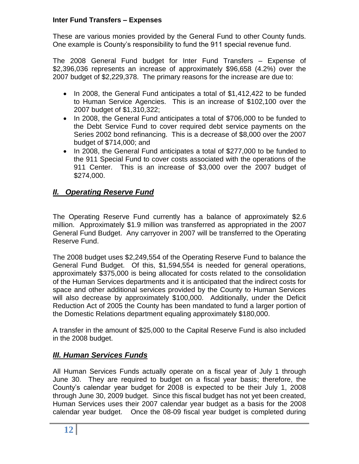#### **Inter Fund Transfers – Expenses**

These are various monies provided by the General Fund to other County funds. One example is County's responsibility to fund the 911 special revenue fund.

The 2008 General Fund budget for Inter Fund Transfers – Expense of \$2,396,036 represents an increase of approximately \$96,658 (4.2%) over the 2007 budget of \$2,229,378. The primary reasons for the increase are due to:

- In 2008, the General Fund anticipates a total of \$1,412,422 to be funded to Human Service Agencies. This is an increase of \$102,100 over the 2007 budget of \$1,310,322;
- In 2008, the General Fund anticipates a total of \$706,000 to be funded to the Debt Service Fund to cover required debt service payments on the Series 2002 bond refinancing. This is a decrease of \$8,000 over the 2007 budget of \$714,000; and
- In 2008, the General Fund anticipates a total of \$277,000 to be funded to the 911 Special Fund to cover costs associated with the operations of the 911 Center. This is an increase of \$3,000 over the 2007 budget of \$274,000.

## *II. Operating Reserve Fund*

The Operating Reserve Fund currently has a balance of approximately \$2.6 million. Approximately \$1.9 million was transferred as appropriated in the 2007 General Fund Budget. Any carryover in 2007 will be transferred to the Operating Reserve Fund.

The 2008 budget uses \$2,249,554 of the Operating Reserve Fund to balance the General Fund Budget. Of this, \$1,594,554 is needed for general operations, approximately \$375,000 is being allocated for costs related to the consolidation of the Human Services departments and it is anticipated that the indirect costs for space and other additional services provided by the County to Human Services will also decrease by approximately \$100,000. Additionally, under the Deficit Reduction Act of 2005 the County has been mandated to fund a larger portion of the Domestic Relations department equaling approximately \$180,000.

A transfer in the amount of \$25,000 to the Capital Reserve Fund is also included in the 2008 budget.

## *III. Human Services Funds*

All Human Services Funds actually operate on a fiscal year of July 1 through June 30. They are required to budget on a fiscal year basis; therefore, the County's calendar year budget for 2008 is expected to be their July 1, 2008 through June 30, 2009 budget. Since this fiscal budget has not yet been created, Human Services uses their 2007 calendar year budget as a basis for the 2008 calendar year budget. Once the 08-09 fiscal year budget is completed during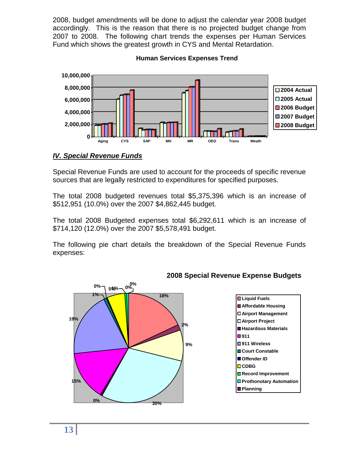2008, budget amendments will be done to adjust the calendar year 2008 budget accordingly. This is the reason that there is no projected budget change from 2007 to 2008. The following chart trends the expenses per Human Services Fund which shows the greatest growth in CYS and Mental Retardation.



**Human Services Expenses Trend**

## *IV. Special Revenue Funds*

Special Revenue Funds are used to account for the proceeds of specific revenue sources that are legally restricted to expenditures for specified purposes.

The total 2008 budgeted revenues total \$5,375,396 which is an increase of \$512,951 (10.0%) over the 2007 \$4,862,445 budget.

The total 2008 Budgeted expenses total \$6,292,611 which is an increase of \$714,120 (12.0%) over the 2007 \$5,578,491 budget.

The following pie chart details the breakdown of the Special Revenue Funds expenses:



#### **2008 Special Revenue Expense Budgets**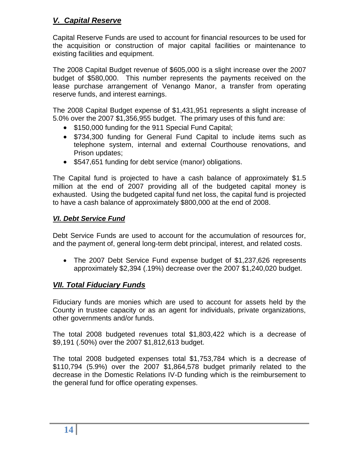## *V. Capital Reserve*

Capital Reserve Funds are used to account for financial resources to be used for the acquisition or construction of major capital facilities or maintenance to existing facilities and equipment.

The 2008 Capital Budget revenue of \$605,000 is a slight increase over the 2007 budget of \$580,000. This number represents the payments received on the lease purchase arrangement of Venango Manor, a transfer from operating reserve funds, and interest earnings.

The 2008 Capital Budget expense of \$1,431,951 represents a slight increase of 5.0% over the 2007 \$1,356,955 budget. The primary uses of this fund are:

- \$150,000 funding for the 911 Special Fund Capital;
- \$734,300 funding for General Fund Capital to include items such as telephone system, internal and external Courthouse renovations, and Prison updates;
- \$547,651 funding for debt service (manor) obligations.

The Capital fund is projected to have a cash balance of approximately \$1.5 million at the end of 2007 providing all of the budgeted capital money is exhausted. Using the budgeted capital fund net loss, the capital fund is projected to have a cash balance of approximately \$800,000 at the end of 2008.

## *VI. Debt Service Fund*

Debt Service Funds are used to account for the accumulation of resources for, and the payment of, general long-term debt principal, interest, and related costs.

 The 2007 Debt Service Fund expense budget of \$1,237,626 represents approximately \$2,394 (.19%) decrease over the 2007 \$1,240,020 budget.

## *VII. Total Fiduciary Funds*

Fiduciary funds are monies which are used to account for assets held by the County in trustee capacity or as an agent for individuals, private organizations, other governments and/or funds.

The total 2008 budgeted revenues total \$1,803,422 which is a decrease of \$9,191 (.50%) over the 2007 \$1,812,613 budget.

The total 2008 budgeted expenses total \$1,753,784 which is a decrease of \$110,794 (5.9%) over the 2007 \$1,864,578 budget primarily related to the decrease in the Domestic Relations IV-D funding which is the reimbursement to the general fund for office operating expenses.